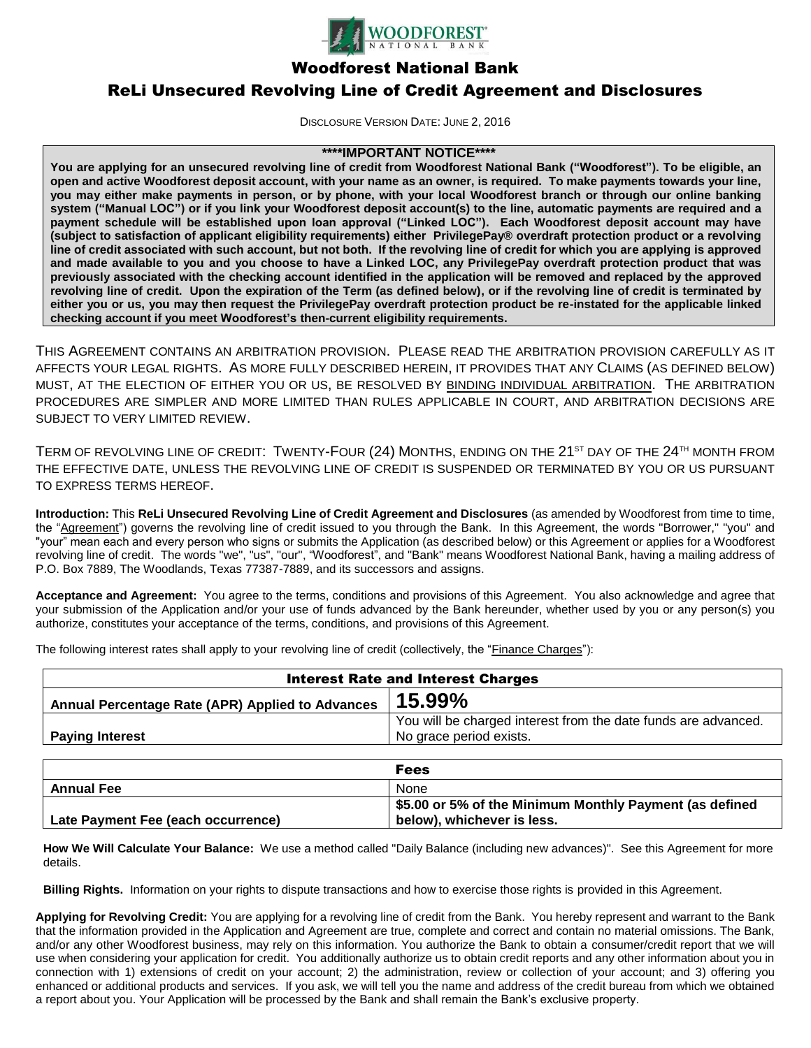

Woodforest National Bank

# ReLi Unsecured Revolving Line of Credit Agreement and Disclosures

DISCLOSURE VERSION DATE: JUNE 2, 2016

# **\*\*\*\*IMPORTANT NOTICE\*\*\*\***

**You are applying for an unsecured revolving line of credit from Woodforest National Bank ("Woodforest"). To be eligible, an open and active Woodforest deposit account, with your name as an owner, is required. To make payments towards your line, you may either make payments in person, or by phone, with your local Woodforest branch or through our online banking system ("Manual LOC") or if you link your Woodforest deposit account(s) to the line, automatic payments are required and a payment schedule will be established upon loan approval ("Linked LOC"). Each Woodforest deposit account may have (subject to satisfaction of applicant eligibility requirements) either PrivilegePay® overdraft protection product or a revolving line of credit associated with such account, but not both. If the revolving line of credit for which you are applying is approved and made available to you and you choose to have a Linked LOC, any PrivilegePay overdraft protection product that was previously associated with the checking account identified in the application will be removed and replaced by the approved revolving line of credit. Upon the expiration of the Term (as defined below), or if the revolving line of credit is terminated by either you or us, you may then request the PrivilegePay overdraft protection product be re-instated for the applicable linked checking account if you meet Woodforest's then-current eligibility requirements.**

THIS AGREEMENT CONTAINS AN ARBITRATION PROVISION. PLEASE READ THE ARBITRATION PROVISION CAREFULLY AS IT AFFECTS YOUR LEGAL RIGHTS. AS MORE FULLY DESCRIBED HEREIN, IT PROVIDES THAT ANY CLAIMS (AS DEFINED BELOW) MUST, AT THE ELECTION OF EITHER YOU OR US, BE RESOLVED BY BINDING INDIVIDUAL ARBITRATION. THE ARBITRATION PROCEDURES ARE SIMPLER AND MORE LIMITED THAN RULES APPLICABLE IN COURT, AND ARBITRATION DECISIONS ARE SUBJECT TO VERY LIMITED REVIEW.

TERM OF REVOLVING LINE OF CREDIT: TWENTY-FOUR (24) MONTHS, ENDING ON THE 21<sup>ST</sup> DAY OF THE 24<sup>TH</sup> MONTH FROM THE EFFECTIVE DATE, UNLESS THE REVOLVING LINE OF CREDIT IS SUSPENDED OR TERMINATED BY YOU OR US PURSUANT TO EXPRESS TERMS HEREOF.

**Introduction:** This **ReLi Unsecured Revolving Line of Credit Agreement and Disclosures** (as amended by Woodforest from time to time, the "Agreement") governs the revolving line of credit issued to you through the Bank. In this Agreement, the words "Borrower," "you" and "your" mean each and every person who signs or submits the Application (as described below) or this Agreement or applies for a Woodforest revolving line of credit. The words "we", "us", "our", "Woodforest", and "Bank" means Woodforest National Bank, having a mailing address of P.O. Box 7889, The Woodlands, Texas 77387-7889, and its successors and assigns.

**Acceptance and Agreement:** You agree to the terms, conditions and provisions of this Agreement. You also acknowledge and agree that your submission of the Application and/or your use of funds advanced by the Bank hereunder, whether used by you or any person(s) you authorize, constitutes your acceptance of the terms, conditions, and provisions of this Agreement.

The following interest rates shall apply to your revolving line of credit (collectively, the "Finance Charges"):

| <b>Interest Rate and Interest Charges</b>        |                                                                |
|--------------------------------------------------|----------------------------------------------------------------|
| Annual Percentage Rate (APR) Applied to Advances | 15.99%                                                         |
|                                                  | You will be charged interest from the date funds are advanced. |
| <b>Paying Interest</b>                           | No grace period exists.                                        |

|                                    | <b>Fees</b>                                             |
|------------------------------------|---------------------------------------------------------|
| <b>Annual Fee</b>                  | <b>None</b>                                             |
|                                    | \$5.00 or 5% of the Minimum Monthly Payment (as defined |
| Late Payment Fee (each occurrence) | below), whichever is less.                              |

**How We Will Calculate Your Balance:** We use a method called "Daily Balance (including new advances)". See this Agreement for more details.

**Billing Rights.** Information on your rights to dispute transactions and how to exercise those rights is provided in this Agreement.

**Applying for Revolving Credit:** You are applying for a revolving line of credit from the Bank. You hereby represent and warrant to the Bank that the information provided in the Application and Agreement are true, complete and correct and contain no material omissions. The Bank, and/or any other Woodforest business, may rely on this information. You authorize the Bank to obtain a consumer/credit report that we will use when considering your application for credit. You additionally authorize us to obtain credit reports and any other information about you in connection with 1) extensions of credit on your account; 2) the administration, review or collection of your account; and 3) offering you enhanced or additional products and services. If you ask, we will tell you the name and address of the credit bureau from which we obtained a report about you. Your Application will be processed by the Bank and shall remain the Bank's exclusive property.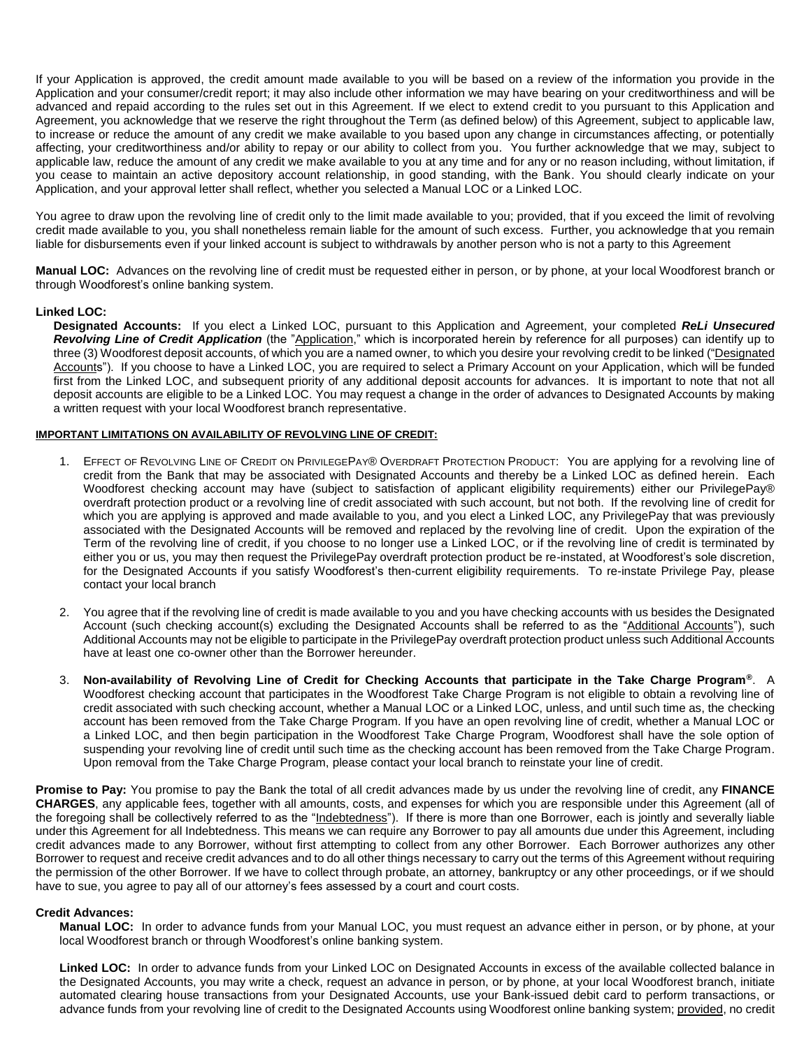If your Application is approved, the credit amount made available to you will be based on a review of the information you provide in the Application and your consumer/credit report; it may also include other information we may have bearing on your creditworthiness and will be advanced and repaid according to the rules set out in this Agreement. If we elect to extend credit to you pursuant to this Application and Agreement, you acknowledge that we reserve the right throughout the Term (as defined below) of this Agreement, subject to applicable law, to increase or reduce the amount of any credit we make available to you based upon any change in circumstances affecting, or potentially affecting, your creditworthiness and/or ability to repay or our ability to collect from you. You further acknowledge that we may, subject to applicable law, reduce the amount of any credit we make available to you at any time and for any or no reason including, without limitation, if you cease to maintain an active depository account relationship, in good standing, with the Bank. You should clearly indicate on your Application, and your approval letter shall reflect, whether you selected a Manual LOC or a Linked LOC.

You agree to draw upon the revolving line of credit only to the limit made available to you; provided, that if you exceed the limit of revolving credit made available to you, you shall nonetheless remain liable for the amount of such excess. Further, you acknowledge that you remain liable for disbursements even if your linked account is subject to withdrawals by another person who is not a party to this Agreement

**Manual LOC:** Advances on the revolving line of credit must be requested either in person, or by phone, at your local Woodforest branch or through Woodforest's online banking system.

#### **Linked LOC:**

**Designated Accounts:** If you elect a Linked LOC, pursuant to this Application and Agreement, your completed *ReLi Unsecured Revolving Line of Credit Application* (the "Application," which is incorporated herein by reference for all purposes) can identify up to three (3) Woodforest deposit accounts, of which you are a named owner, to which you desire your revolving credit to be linked ("Designated Accounts"). If you choose to have a Linked LOC, you are required to select a Primary Account on your Application, which will be funded first from the Linked LOC, and subsequent priority of any additional deposit accounts for advances. It is important to note that not all deposit accounts are eligible to be a Linked LOC. You may request a change in the order of advances to Designated Accounts by making a written request with your local Woodforest branch representative.

#### **IMPORTANT LIMITATIONS ON AVAILABILITY OF REVOLVING LINE OF CREDIT:**

- 1. EFFECT OF REVOLVING LINE OF CREDIT ON PRIVILEGEPAY® OVERDRAFT PROTECTION PRODUCT: You are applying for a revolving line of credit from the Bank that may be associated with Designated Accounts and thereby be a Linked LOC as defined herein. Each Woodforest checking account may have (subject to satisfaction of applicant eligibility requirements) either our PrivilegePay® overdraft protection product or a revolving line of credit associated with such account, but not both. If the revolving line of credit for which you are applying is approved and made available to you, and you elect a Linked LOC, any PrivilegePay that was previously associated with the Designated Accounts will be removed and replaced by the revolving line of credit. Upon the expiration of the Term of the revolving line of credit, if you choose to no longer use a Linked LOC, or if the revolving line of credit is terminated by either you or us, you may then request the PrivilegePay overdraft protection product be re-instated, at Woodforest's sole discretion, for the Designated Accounts if you satisfy Woodforest's then-current eligibility requirements. To re-instate Privilege Pay, please contact your local branch
- 2. You agree that if the revolving line of credit is made available to you and you have checking accounts with us besides the Designated Account (such checking account(s) excluding the Designated Accounts shall be referred to as the "Additional Accounts"), such Additional Accounts may not be eligible to participate in the PrivilegePay overdraft protection product unless such Additional Accounts have at least one co-owner other than the Borrower hereunder.
- 3. **Non-availability of Revolving Line of Credit for Checking Accounts that participate in the Take Charge Program®**. A Woodforest checking account that participates in the Woodforest Take Charge Program is not eligible to obtain a revolving line of credit associated with such checking account, whether a Manual LOC or a Linked LOC, unless, and until such time as, the checking account has been removed from the Take Charge Program. If you have an open revolving line of credit, whether a Manual LOC or a Linked LOC, and then begin participation in the Woodforest Take Charge Program, Woodforest shall have the sole option of suspending your revolving line of credit until such time as the checking account has been removed from the Take Charge Program. Upon removal from the Take Charge Program, please contact your local branch to reinstate your line of credit.

**Promise to Pay:** You promise to pay the Bank the total of all credit advances made by us under the revolving line of credit, any **FINANCE CHARGES**, any applicable fees, together with all amounts, costs, and expenses for which you are responsible under this Agreement (all of the foregoing shall be collectively referred to as the "Indebtedness"). If there is more than one Borrower, each is jointly and severally liable under this Agreement for all Indebtedness. This means we can require any Borrower to pay all amounts due under this Agreement, including credit advances made to any Borrower, without first attempting to collect from any other Borrower. Each Borrower authorizes any other Borrower to request and receive credit advances and to do all other things necessary to carry out the terms of this Agreement without requiring the permission of the other Borrower. If we have to collect through probate, an attorney, bankruptcy or any other proceedings, or if we should have to sue, you agree to pay all of our attorney's fees assessed by a court and court costs.

#### **Credit Advances:**

**Manual LOC:** In order to advance funds from your Manual LOC, you must request an advance either in person, or by phone, at your local Woodforest branch or through Woodforest's online banking system.

**Linked LOC:** In order to advance funds from your Linked LOC on Designated Accounts in excess of the available collected balance in the Designated Accounts, you may write a check, request an advance in person, or by phone, at your local Woodforest branch, initiate automated clearing house transactions from your Designated Accounts, use your Bank-issued debit card to perform transactions, or advance funds from your revolving line of credit to the Designated Accounts using Woodforest online banking system; provided, no credit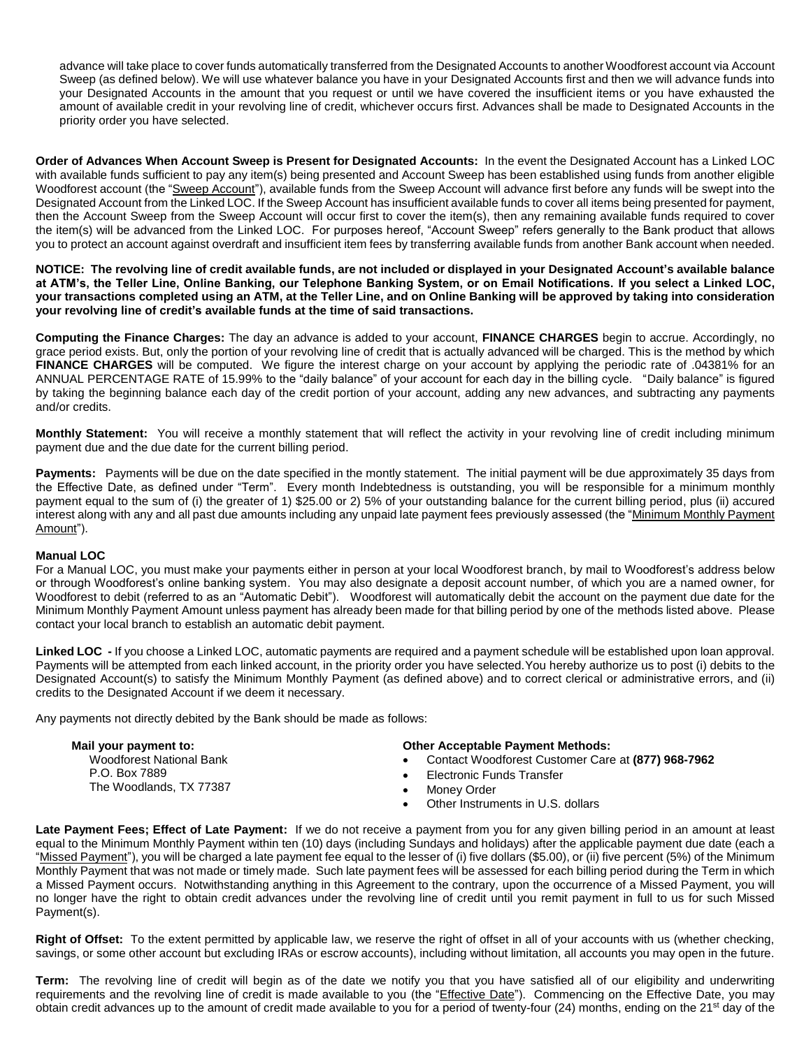advance will take place to cover funds automatically transferred from the Designated Accounts to another Woodforest account via Account Sweep (as defined below). We will use whatever balance you have in your Designated Accounts first and then we will advance funds into your Designated Accounts in the amount that you request or until we have covered the insufficient items or you have exhausted the amount of available credit in your revolving line of credit, whichever occurs first. Advances shall be made to Designated Accounts in the priority order you have selected.

**Order of Advances When Account Sweep is Present for Designated Accounts:** In the event the Designated Account has a Linked LOC with available funds sufficient to pay any item(s) being presented and Account Sweep has been established using funds from another eligible Woodforest account (the "Sweep Account"), available funds from the Sweep Account will advance first before any funds will be swept into the Designated Account from the Linked LOC. If the Sweep Account has insufficient available funds to cover all items being presented for payment, then the Account Sweep from the Sweep Account will occur first to cover the item(s), then any remaining available funds required to cover the item(s) will be advanced from the Linked LOC. For purposes hereof, "Account Sweep" refers generally to the Bank product that allows you to protect an account against overdraft and insufficient item fees by transferring available funds from another Bank account when needed.

**NOTICE: The revolving line of credit available funds, are not included or displayed in your Designated Account's available balance at ATM's, the Teller Line, Online Banking, our Telephone Banking System, or on Email Notifications. If you select a Linked LOC, your transactions completed using an ATM, at the Teller Line, and on Online Banking will be approved by taking into consideration your revolving line of credit's available funds at the time of said transactions.**

**Computing the Finance Charges:** The day an advance is added to your account, **FINANCE CHARGES** begin to accrue. Accordingly, no grace period exists. But, only the portion of your revolving line of credit that is actually advanced will be charged. This is the method by which **FINANCE CHARGES** will be computed. We figure the interest charge on your account by applying the periodic rate of .04381% for an ANNUAL PERCENTAGE RATE of 15.99% to the "daily balance" of your account for each day in the billing cycle. "Daily balance" is figured by taking the beginning balance each day of the credit portion of your account, adding any new advances, and subtracting any payments and/or credits.

**Monthly Statement:** You will receive a monthly statement that will reflect the activity in your revolving line of credit including minimum payment due and the due date for the current billing period.

Payments: Payments will be due on the date specified in the montly statement. The initial payment will be due approximately 35 days from the Effective Date, as defined under "Term". Every month Indebtedness is outstanding, you will be responsible for a minimum monthly payment equal to the sum of (i) the greater of 1) \$25.00 or 2) 5% of your outstanding balance for the current billing period, plus (ii) accured interest along with any and all past due amounts including any unpaid late payment fees previously assessed (the "Minimum Monthly Payment Amount").

# **Manual LOC**

For a Manual LOC, you must make your payments either in person at your local Woodforest branch, by mail to Woodforest's address below or through Woodforest's online banking system. You may also designate a deposit account number, of which you are a named owner, for Woodforest to debit (referred to as an "Automatic Debit"). Woodforest will automatically debit the account on the payment due date for the Minimum Monthly Payment Amount unless payment has already been made for that billing period by one of the methods listed above. Please contact your local branch to establish an automatic debit payment.

**Linked LOC -** If you choose a Linked LOC, automatic payments are required and a payment schedule will be established upon loan approval. Payments will be attempted from each linked account, in the priority order you have selected.You hereby authorize us to post (i) debits to the Designated Account(s) to satisfy the Minimum Monthly Payment (as defined above) and to correct clerical or administrative errors, and (ii) credits to the Designated Account if we deem it necessary.

Any payments not directly debited by the Bank should be made as follows:

| Mail your payment to:           | <b>Other Acceptable Payment Methods:</b>           |
|---------------------------------|----------------------------------------------------|
| <b>Woodforest National Bank</b> | Contact Woodforest Customer Care at (877) 968-7962 |
| P.O. Box 7889                   | Electronic Funds Transfer                          |
| The Woodlands, TX 77387         | Monev Order                                        |
|                                 | Other Instruments in U.S. dollars                  |

**Late Payment Fees; Effect of Late Payment:** If we do not receive a payment from you for any given billing period in an amount at least equal to the Minimum Monthly Payment within ten (10) days (including Sundays and holidays) after the applicable payment due date (each a "Missed Payment"), you will be charged a late payment fee equal to the lesser of (i) five dollars (\$5.00), or (ii) five percent (5%) of the Minimum Monthly Payment that was not made or timely made. Such late payment fees will be assessed for each billing period during the Term in which a Missed Payment occurs. Notwithstanding anything in this Agreement to the contrary, upon the occurrence of a Missed Payment, you will no longer have the right to obtain credit advances under the revolving line of credit until you remit payment in full to us for such Missed Payment(s).

**Right of Offset:** To the extent permitted by applicable law, we reserve the right of offset in all of your accounts with us (whether checking, savings, or some other account but excluding IRAs or escrow accounts), including without limitation, all accounts you may open in the future.

**Term:** The revolving line of credit will begin as of the date we notify you that you have satisfied all of our eligibility and underwriting requirements and the revolving line of credit is made available to you (the "Effective Date"). Commencing on the Effective Date, you may obtain credit advances up to the amount of credit made available to you for a period of twenty-four (24) months, ending on the 21<sup>st</sup> day of the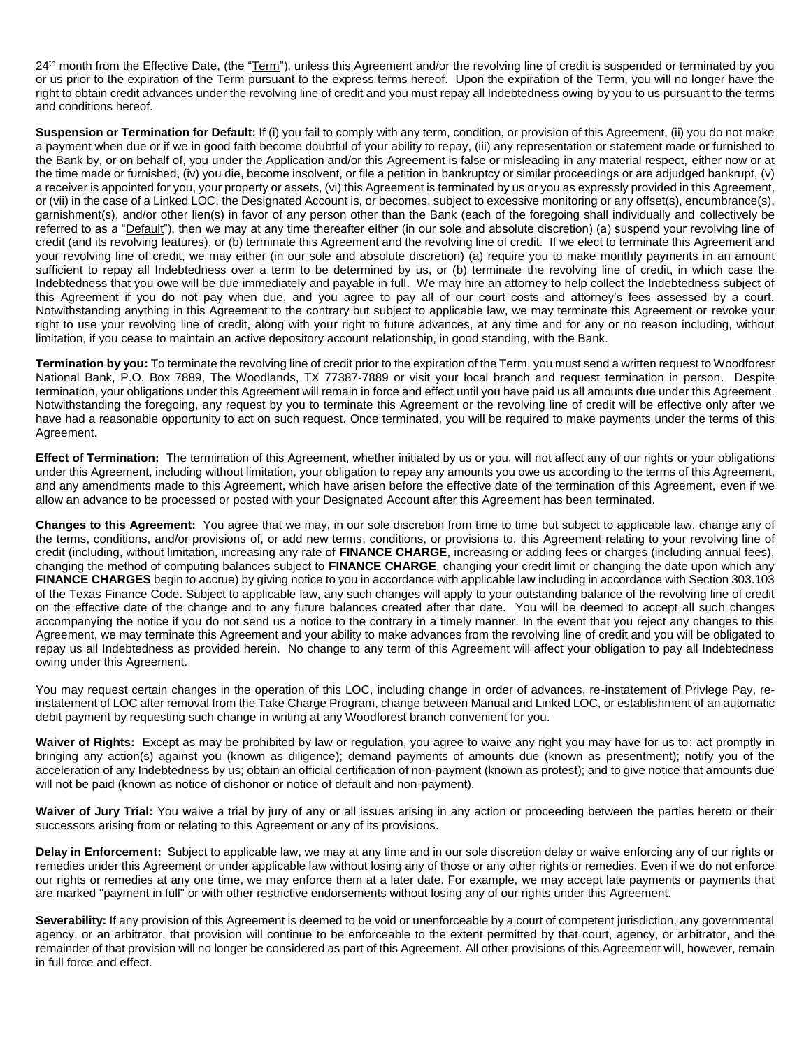24<sup>th</sup> month from the Effective Date, (the "Term"), unless this Agreement and/or the revolving line of credit is suspended or terminated by you or us prior to the expiration of the Term pursuant to the express terms hereof. Upon the expiration of the Term, you will no longer have the right to obtain credit advances under the revolving line of credit and you must repay all Indebtedness owing by you to us pursuant to the terms and conditions hereof.

**Suspension or Termination for Default:** If (i) you fail to comply with any term, condition, or provision of this Agreement, (ii) you do not make a payment when due or if we in good faith become doubtful of your ability to repay, (iii) any representation or statement made or furnished to the Bank by, or on behalf of, you under the Application and/or this Agreement is false or misleading in any material respect, either now or at the time made or furnished, (iv) you die, become insolvent, or file a petition in bankruptcy or similar proceedings or are adjudged bankrupt, (v) a receiver is appointed for you, your property or assets, (vi) this Agreement is terminated by us or you as expressly provided in this Agreement, or (vii) in the case of a Linked LOC, the Designated Account is, or becomes, subject to excessive monitoring or any offset(s), encumbrance(s), garnishment(s), and/or other lien(s) in favor of any person other than the Bank (each of the foregoing shall individually and collectively be referred to as a "Default"), then we may at any time thereafter either (in our sole and absolute discretion) (a) suspend your revolving line of credit (and its revolving features), or (b) terminate this Agreement and the revolving line of credit. If we elect to terminate this Agreement and your revolving line of credit, we may either (in our sole and absolute discretion) (a) require you to make monthly payments in an amount sufficient to repay all Indebtedness over a term to be determined by us, or (b) terminate the revolving line of credit, in which case the Indebtedness that you owe will be due immediately and payable in full. We may hire an attorney to help collect the Indebtedness subject of this Agreement if you do not pay when due, and you agree to pay all of our court costs and attorney's fees assessed by a court. Notwithstanding anything in this Agreement to the contrary but subject to applicable law, we may terminate this Agreement or revoke your right to use your revolving line of credit, along with your right to future advances, at any time and for any or no reason including, without limitation, if you cease to maintain an active depository account relationship, in good standing, with the Bank.

**Termination by you:** To terminate the revolving line of credit prior to the expiration of the Term, you must send a written request to Woodforest National Bank, P.O. Box 7889, The Woodlands, TX 77387-7889 or visit your local branch and request termination in person. Despite termination, your obligations under this Agreement will remain in force and effect until you have paid us all amounts due under this Agreement. Notwithstanding the foregoing, any request by you to terminate this Agreement or the revolving line of credit will be effective only after we have had a reasonable opportunity to act on such request. Once terminated, you will be required to make payments under the terms of this Agreement.

**Effect of Termination:** The termination of this Agreement, whether initiated by us or you, will not affect any of our rights or your obligations under this Agreement, including without limitation, your obligation to repay any amounts you owe us according to the terms of this Agreement, and any amendments made to this Agreement, which have arisen before the effective date of the termination of this Agreement, even if we allow an advance to be processed or posted with your Designated Account after this Agreement has been terminated.

**Changes to this Agreement:** You agree that we may, in our sole discretion from time to time but subject to applicable law, change any of the terms, conditions, and/or provisions of, or add new terms, conditions, or provisions to, this Agreement relating to your revolving line of credit (including, without limitation, increasing any rate of **FINANCE CHARGE**, increasing or adding fees or charges (including annual fees), changing the method of computing balances subject to **FINANCE CHARGE**, changing your credit limit or changing the date upon which any **FINANCE CHARGES** begin to accrue) by giving notice to you in accordance with applicable law including in accordance with Section 303.103 of the Texas Finance Code. Subject to applicable law, any such changes will apply to your outstanding balance of the revolving line of credit on the effective date of the change and to any future balances created after that date. You will be deemed to accept all such changes accompanying the notice if you do not send us a notice to the contrary in a timely manner. In the event that you reject any changes to this Agreement, we may terminate this Agreement and your ability to make advances from the revolving line of credit and you will be obligated to repay us all Indebtedness as provided herein. No change to any term of this Agreement will affect your obligation to pay all Indebtedness owing under this Agreement.

You may request certain changes in the operation of this LOC, including change in order of advances, re-instatement of Privlege Pay, reinstatement of LOC after removal from the Take Charge Program, change between Manual and Linked LOC, or establishment of an automatic debit payment by requesting such change in writing at any Woodforest branch convenient for you.

**Waiver of Rights:** Except as may be prohibited by law or regulation, you agree to waive any right you may have for us to: act promptly in bringing any action(s) against you (known as diligence); demand payments of amounts due (known as presentment); notify you of the acceleration of any Indebtedness by us; obtain an official certification of non-payment (known as protest); and to give notice that amounts due will not be paid (known as notice of dishonor or notice of default and non-payment).

Waiver of Jury Trial: You waive a trial by jury of any or all issues arising in any action or proceeding between the parties hereto or their successors arising from or relating to this Agreement or any of its provisions.

**Delay in Enforcement:** Subject to applicable law, we may at any time and in our sole discretion delay or waive enforcing any of our rights or remedies under this Agreement or under applicable law without losing any of those or any other rights or remedies. Even if we do not enforce our rights or remedies at any one time, we may enforce them at a later date. For example, we may accept late payments or payments that are marked "payment in full" or with other restrictive endorsements without losing any of our rights under this Agreement.

Severability: If any provision of this Agreement is deemed to be void or unenforceable by a court of competent jurisdiction, any governmental agency, or an arbitrator, that provision will continue to be enforceable to the extent permitted by that court, agency, or arbitrator, and the remainder of that provision will no longer be considered as part of this Agreement. All other provisions of this Agreement will, however, remain in full force and effect.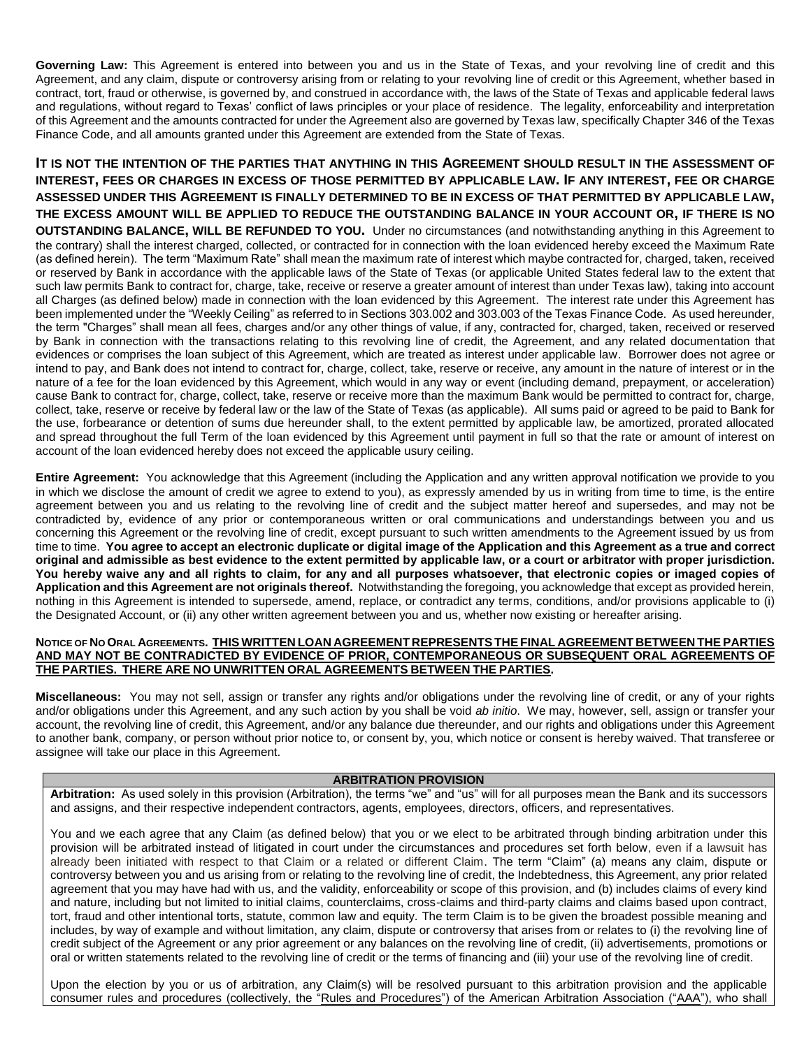**Governing Law:** This Agreement is entered into between you and us in the State of Texas, and your revolving line of credit and this Agreement, and any claim, dispute or controversy arising from or relating to your revolving line of credit or this Agreement, whether based in contract, tort, fraud or otherwise, is governed by, and construed in accordance with, the laws of the State of Texas and applicable federal laws and regulations, without regard to Texas' conflict of laws principles or your place of residence. The legality, enforceability and interpretation of this Agreement and the amounts contracted for under the Agreement also are governed by Texas law, specifically Chapter 346 of the Texas Finance Code, and all amounts granted under this Agreement are extended from the State of Texas.

**IT IS NOT THE INTENTION OF THE PARTIES THAT ANYTHING IN THIS AGREEMENT SHOULD RESULT IN THE ASSESSMENT OF INTEREST, FEES OR CHARGES IN EXCESS OF THOSE PERMITTED BY APPLICABLE LAW. IF ANY INTEREST, FEE OR CHARGE ASSESSED UNDER THIS AGREEMENT IS FINALLY DETERMINED TO BE IN EXCESS OF THAT PERMITTED BY APPLICABLE LAW, THE EXCESS AMOUNT WILL BE APPLIED TO REDUCE THE OUTSTANDING BALANCE IN YOUR ACCOUNT OR, IF THERE IS NO OUTSTANDING BALANCE, WILL BE REFUNDED TO YOU.** Under no circumstances (and notwithstanding anything in this Agreement to the contrary) shall the interest charged, collected, or contracted for in connection with the loan evidenced hereby exceed the Maximum Rate (as defined herein). The term "Maximum Rate" shall mean the maximum rate of interest which maybe contracted for, charged, taken, received or reserved by Bank in accordance with the applicable laws of the State of Texas (or applicable United States federal law to the extent that such law permits Bank to contract for, charge, take, receive or reserve a greater amount of interest than under Texas law), taking into account all Charges (as defined below) made in connection with the loan evidenced by this Agreement. The interest rate under this Agreement has been implemented under the "Weekly Ceiling" as referred to in Sections 303.002 and 303.003 of the Texas Finance Code. As used hereunder, the term "Charges" shall mean all fees, charges and/or any other things of value, if any, contracted for, charged, taken, received or reserved by Bank in connection with the transactions relating to this revolving line of credit, the Agreement, and any related documentation that evidences or comprises the loan subject of this Agreement, which are treated as interest under applicable law. Borrower does not agree or intend to pay, and Bank does not intend to contract for, charge, collect, take, reserve or receive, any amount in the nature of interest or in the nature of a fee for the loan evidenced by this Agreement, which would in any way or event (including demand, prepayment, or acceleration) cause Bank to contract for, charge, collect, take, reserve or receive more than the maximum Bank would be permitted to contract for, charge, collect, take, reserve or receive by federal law or the law of the State of Texas (as applicable). All sums paid or agreed to be paid to Bank for the use, forbearance or detention of sums due hereunder shall, to the extent permitted by applicable law, be amortized, prorated allocated and spread throughout the full Term of the loan evidenced by this Agreement until payment in full so that the rate or amount of interest on account of the loan evidenced hereby does not exceed the applicable usury ceiling.

**Entire Agreement:** You acknowledge that this Agreement (including the Application and any written approval notification we provide to you in which we disclose the amount of credit we agree to extend to you), as expressly amended by us in writing from time to time, is the entire agreement between you and us relating to the revolving line of credit and the subject matter hereof and supersedes, and may not be contradicted by, evidence of any prior or contemporaneous written or oral communications and understandings between you and us concerning this Agreement or the revolving line of credit, except pursuant to such written amendments to the Agreement issued by us from time to time. **You agree to accept an electronic duplicate or digital image of the Application and this Agreement as a true and correct original and admissible as best evidence to the extent permitted by applicable law, or a court or arbitrator with proper jurisdiction. You hereby waive any and all rights to claim, for any and all purposes whatsoever, that electronic copies or imaged copies of Application and this Agreement are not originals thereof.** Notwithstanding the foregoing, you acknowledge that except as provided herein, nothing in this Agreement is intended to supersede, amend, replace, or contradict any terms, conditions, and/or provisions applicable to (i) the Designated Account, or (ii) any other written agreement between you and us, whether now existing or hereafter arising.

## NOTICE OF NO ORAL AGREEMENTS. THIS WRITTEN LOAN AGREEMENT REPRESENTS THE FINAL AGREEMENT BETWEEN THE PARTIES **AND MAY NOT BE CONTRADICTED BY EVIDENCE OF PRIOR, CONTEMPORANEOUS OR SUBSEQUENT ORAL AGREEMENTS OF THE PARTIES. THERE ARE NO UNWRITTEN ORAL AGREEMENTS BETWEEN THE PARTIES.**

**Miscellaneous:** You may not sell, assign or transfer any rights and/or obligations under the revolving line of credit, or any of your rights and/or obligations under this Agreement, and any such action by you shall be void *ab initio*. We may, however, sell, assign or transfer your account, the revolving line of credit, this Agreement, and/or any balance due thereunder, and our rights and obligations under this Agreement to another bank, company, or person without prior notice to, or consent by, you, which notice or consent is hereby waived. That transferee or assignee will take our place in this Agreement.

# **ARBITRATION PROVISION**

**Arbitration:** As used solely in this provision (Arbitration), the terms "we" and "us" will for all purposes mean the Bank and its successors and assigns, and their respective independent contractors, agents, employees, directors, officers, and representatives.

You and we each agree that any Claim (as defined below) that you or we elect to be arbitrated through binding arbitration under this provision will be arbitrated instead of litigated in court under the circumstances and procedures set forth below, even if a lawsuit has already been initiated with respect to that Claim or a related or different Claim. The term "Claim" (a) means any claim, dispute or controversy between you and us arising from or relating to the revolving line of credit, the Indebtedness, this Agreement, any prior related agreement that you may have had with us, and the validity, enforceability or scope of this provision, and (b) includes claims of every kind and nature, including but not limited to initial claims, counterclaims, cross-claims and third-party claims and claims based upon contract, tort, fraud and other intentional torts, statute, common law and equity. The term Claim is to be given the broadest possible meaning and includes, by way of example and without limitation, any claim, dispute or controversy that arises from or relates to (i) the revolving line of credit subject of the Agreement or any prior agreement or any balances on the revolving line of credit, (ii) advertisements, promotions or oral or written statements related to the revolving line of credit or the terms of financing and (iii) your use of the revolving line of credit.

Upon the election by you or us of arbitration, any Claim(s) will be resolved pursuant to this arbitration provision and the applicable consumer rules and procedures (collectively, the "Rules and Procedures") of the American Arbitration Association ("AAA"), who shall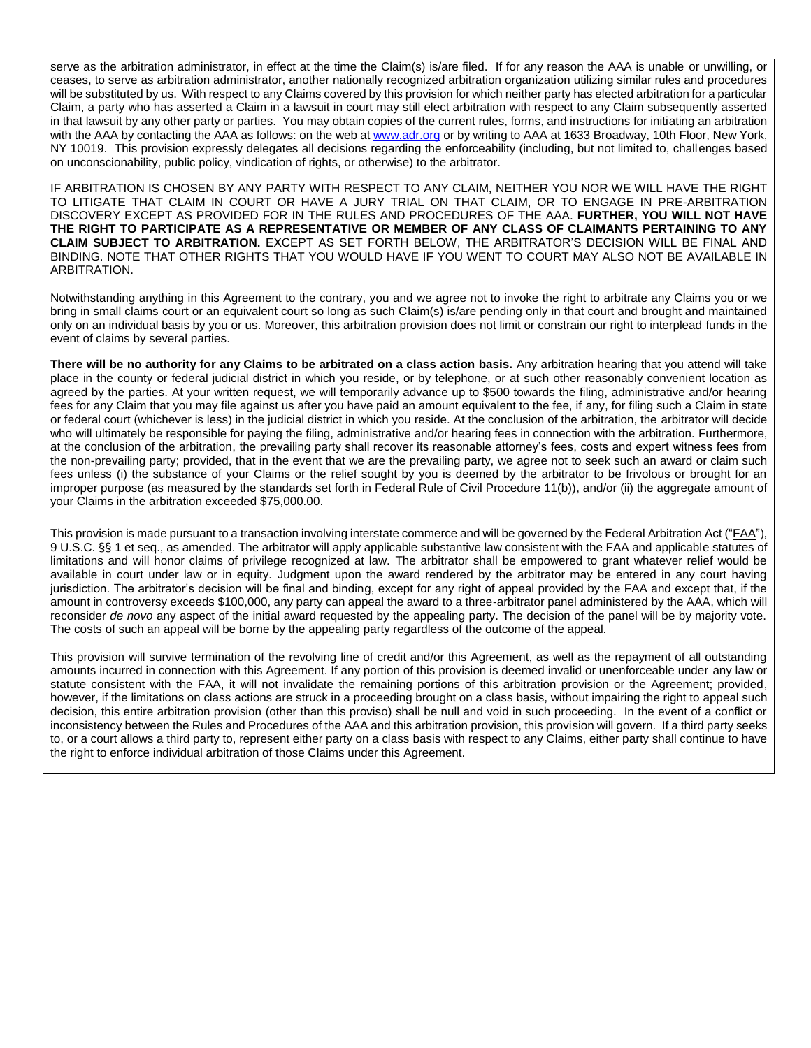serve as the arbitration administrator, in effect at the time the Claim(s) is/are filed. If for any reason the AAA is unable or unwilling, or ceases, to serve as arbitration administrator, another nationally recognized arbitration organization utilizing similar rules and procedures will be substituted by us. With respect to any Claims covered by this provision for which neither party has elected arbitration for a particular Claim, a party who has asserted a Claim in a lawsuit in court may still elect arbitration with respect to any Claim subsequently asserted in that lawsuit by any other party or parties. You may obtain copies of the current rules, forms, and instructions for initiating an arbitration with the AAA by contacting the AAA as follows: on the web at www.adr.org or by writing to AAA at 1633 Broadway, 10th Floor, New York, NY 10019. This provision expressly delegates all decisions regarding the enforceability (including, but not limited to, challenges based on unconscionability, public policy, vindication of rights, or otherwise) to the arbitrator.

IF ARBITRATION IS CHOSEN BY ANY PARTY WITH RESPECT TO ANY CLAIM, NEITHER YOU NOR WE WILL HAVE THE RIGHT TO LITIGATE THAT CLAIM IN COURT OR HAVE A JURY TRIAL ON THAT CLAIM, OR TO ENGAGE IN PRE-ARBITRATION DISCOVERY EXCEPT AS PROVIDED FOR IN THE RULES AND PROCEDURES OF THE AAA. **FURTHER, YOU WILL NOT HAVE THE RIGHT TO PARTICIPATE AS A REPRESENTATIVE OR MEMBER OF ANY CLASS OF CLAIMANTS PERTAINING TO ANY CLAIM SUBJECT TO ARBITRATION.** EXCEPT AS SET FORTH BELOW, THE ARBITRATOR'S DECISION WILL BE FINAL AND BINDING. NOTE THAT OTHER RIGHTS THAT YOU WOULD HAVE IF YOU WENT TO COURT MAY ALSO NOT BE AVAILABLE IN ARBITRATION.

Notwithstanding anything in this Agreement to the contrary, you and we agree not to invoke the right to arbitrate any Claims you or we bring in small claims court or an equivalent court so long as such Claim(s) is/are pending only in that court and brought and maintained only on an individual basis by you or us. Moreover, this arbitration provision does not limit or constrain our right to interplead funds in the event of claims by several parties.

There will be no authority for any Claims to be arbitrated on a class action basis. Any arbitration hearing that you attend will take place in the county or federal judicial district in which you reside, or by telephone, or at such other reasonably convenient location as agreed by the parties. At your written request, we will temporarily advance up to \$500 towards the filing, administrative and/or hearing fees for any Claim that you may file against us after you have paid an amount equivalent to the fee, if any, for filing such a Claim in state or federal court (whichever is less) in the judicial district in which you reside. At the conclusion of the arbitration, the arbitrator will decide who will ultimately be responsible for paying the filing, administrative and/or hearing fees in connection with the arbitration. Furthermore, at the conclusion of the arbitration, the prevailing party shall recover its reasonable attorney's fees, costs and expert witness fees from the non-prevailing party; provided, that in the event that we are the prevailing party, we agree not to seek such an award or claim such fees unless (i) the substance of your Claims or the relief sought by you is deemed by the arbitrator to be frivolous or brought for an improper purpose (as measured by the standards set forth in Federal Rule of Civil Procedure 11(b)), and/or (ii) the aggregate amount of your Claims in the arbitration exceeded \$75,000.00.

This provision is made pursuant to a transaction involving interstate commerce and will be governed by the Federal Arbitration Act ("FAA"), 9 U.S.C. §§ 1 et seq., as amended. The arbitrator will apply applicable substantive law consistent with the FAA and applicable statutes of limitations and will honor claims of privilege recognized at law. The arbitrator shall be empowered to grant whatever relief would be available in court under law or in equity. Judgment upon the award rendered by the arbitrator may be entered in any court having jurisdiction. The arbitrator's decision will be final and binding, except for any right of appeal provided by the FAA and except that, if the amount in controversy exceeds \$100,000, any party can appeal the award to a three-arbitrator panel administered by the AAA, which will reconsider *de novo* any aspect of the initial award requested by the appealing party. The decision of the panel will be by majority vote. The costs of such an appeal will be borne by the appealing party regardless of the outcome of the appeal.

This provision will survive termination of the revolving line of credit and/or this Agreement, as well as the repayment of all outstanding amounts incurred in connection with this Agreement. If any portion of this provision is deemed invalid or unenforceable under any law or statute consistent with the FAA, it will not invalidate the remaining portions of this arbitration provision or the Agreement; provided, however, if the limitations on class actions are struck in a proceeding brought on a class basis, without impairing the right to appeal such decision, this entire arbitration provision (other than this proviso) shall be null and void in such proceeding. In the event of a conflict or inconsistency between the Rules and Procedures of the AAA and this arbitration provision, this provision will govern. If a third party seeks to, or a court allows a third party to, represent either party on a class basis with respect to any Claims, either party shall continue to have the right to enforce individual arbitration of those Claims under this Agreement.